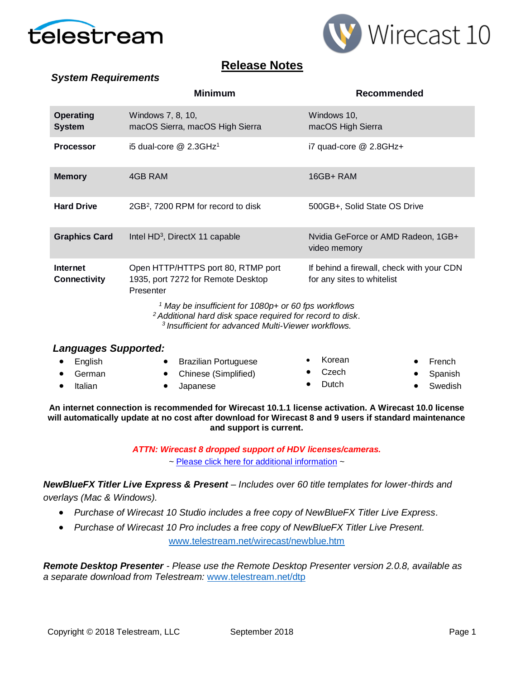

*System Requirements*



# **Release Notes**

|                                        | <b>Minimum</b>                                                                                                                                                                                            | Recommended                                                             |  |  |  |  |
|----------------------------------------|-----------------------------------------------------------------------------------------------------------------------------------------------------------------------------------------------------------|-------------------------------------------------------------------------|--|--|--|--|
| <b>Operating</b><br><b>System</b>      | Windows 7, 8, 10,<br>macOS Sierra, macOS High Sierra                                                                                                                                                      | Windows 10,<br>macOS High Sierra                                        |  |  |  |  |
| <b>Processor</b>                       | i5 dual-core $@$ 2.3GHz <sup>1</sup>                                                                                                                                                                      | i7 quad-core @ 2.8GHz+                                                  |  |  |  |  |
| <b>Memory</b>                          | 4GB RAM                                                                                                                                                                                                   | 16GB+RAM                                                                |  |  |  |  |
| <b>Hard Drive</b>                      | 2GB <sup>2</sup> , 7200 RPM for record to disk                                                                                                                                                            | 500GB+, Solid State OS Drive                                            |  |  |  |  |
| <b>Graphics Card</b>                   | Intel HD <sup>3</sup> , DirectX 11 capable                                                                                                                                                                | Nvidia GeForce or AMD Radeon, 1GB+<br>video memory                      |  |  |  |  |
| <b>Internet</b><br><b>Connectivity</b> | Open HTTP/HTTPS port 80, RTMP port<br>1935, port 7272 for Remote Desktop<br>Presenter                                                                                                                     | If behind a firewall, check with your CDN<br>for any sites to whitelist |  |  |  |  |
|                                        | <sup>1</sup> May be insufficient for 1080p+ or 60 fps workflows<br><sup>2</sup> Additional hard disk space required for record to disk.<br><sup>3</sup> Insufficient for advanced Multi-Viewer workflows. |                                                                         |  |  |  |  |

### *Languages Supported:*

| $\bullet$ English | <b>Brazilian Portuguese</b> | • Korean        | $\bullet$ French |
|-------------------|-----------------------------|-----------------|------------------|
| $\bullet$ German  | • Chinese (Simplified)      | $\bullet$ Czech | • Spanish        |
| Italian           | Japanese                    | $\bullet$ Dutch | • Swedish        |

**An internet connection is recommended for Wirecast 10.1.1 license activation. A Wirecast 10.0 license will automatically update at no cost after download for Wirecast 8 and 9 users if standard maintenance and support is current.**

> *ATTN: Wirecast 8 dropped support of HDV licenses/cameras.*   $\sim$  [Please click here for additional information](http://www.telestream.net/telestream-support/wire-cast/faq.htm?kbURL=http://telestream.force.com/kb/articles/Knowledge_Article/Wirecast-HDV-Firewire-No-longer-Supported/)  $\sim$

*NewBlueFX Titler Live Express & Present – Includes over 60 title templates for lower-thirds and overlays (Mac & Windows).*

• *Purchase of Wirecast 10 Studio includes a free copy of NewBlueFX Titler Live Express.*

• *Purchase of Wirecast 10 Pro includes a free copy of NewBlueFX Titler Live Present.*  [www.telestream.net/wirecast/newblue.htm](http://www.telestream.net/wirecast/newblue.htm)

*Remote Desktop Presenter - Please use the Remote Desktop Presenter version 2.0.8, available as a separate download from Telestream:* [www.telestream.net/dtp](http://www.telestream.net/dtp)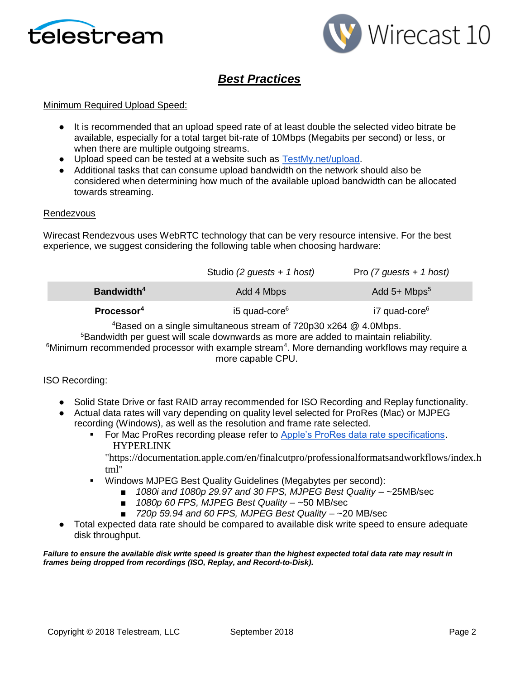



# *Best Practices*

### Minimum Required Upload Speed:

- It is recommended that an upload speed rate of at least double the selected video bitrate be available, especially for a total target bit-rate of 10Mbps (Megabits per second) or less, or when there are multiple outgoing streams.
- Upload speed can be tested at a website such as [TestMy.net/upload.](http://testmy.net/upload)
- Additional tasks that can consume upload bandwidth on the network should also be considered when determining how much of the available upload bandwidth can be allocated towards streaming.

#### Rendezvous

Wirecast Rendezvous uses WebRTC technology that can be very resource intensive. For the best experience, we suggest considering the following table when choosing hardware:

|                        | Studio (2 guests + 1 host) | Pro $(7$ guests + 1 host)  |
|------------------------|----------------------------|----------------------------|
| Bandwidth <sup>4</sup> | Add 4 Mbps                 | Add $5+$ Mbps <sup>5</sup> |
| Processor <sup>4</sup> | i5 quad-core <sup>6</sup>  | i7 quad-core <sup>6</sup>  |

<sup>4</sup>Based on a single simultaneous stream of 720p30 x264 @ 4.0Mbps.

<sup>5</sup>Bandwidth per quest will scale downwards as more are added to maintain reliability.  $6$ Minimum recommended processor with example stream<sup>4</sup>. More demanding workflows may require a more capable CPU.

### ISO Recording:

- Solid State Drive or fast RAID array recommended for ISO Recording and Replay functionality.
- Actual data rates will vary depending on quality level selected for ProRes (Mac) or MJPEG recording (Windows), as well as the resolution and frame rate selected.
	- For Mac ProRes recording please refer to [Apple's ProRes data rate specifications.](https://documentation.apple.com/en/finalcutpro/professionalformatsandworkflows/index.html) HYPERLINK

"https://documentation.apple.com/en/finalcutpro/professionalformatsandworkflows/index.h tml"

- Windows MJPEG Best Quality Guidelines (Megabytes per second):
	- *1080i and 1080p 29.97 and 30 FPS, MJPEG Best Quality ~25MB/sec* 
		- *1080p 60 FPS, MJPEG Best Quality* ~50 MB/sec
		- *720p 59.94 and 60 FPS, MJPEG Best Quality* ~20 MB/sec
- Total expected data rate should be compared to available disk write speed to ensure adequate disk throughput.

*Failure to ensure the available disk write speed is greater than the highest expected total data rate may result in frames being dropped from recordings (ISO, Replay, and Record-to-Disk).*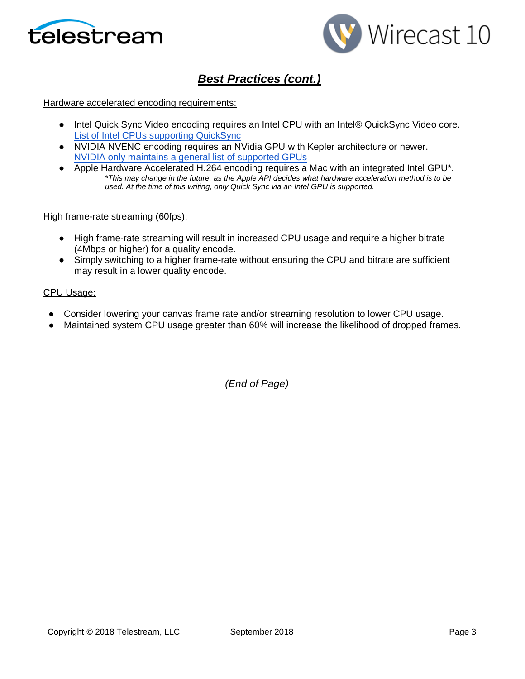



# *Best Practices (cont.)*

#### Hardware accelerated encoding requirements:

- Intel Quick Sync Video encoding requires an Intel CPU with an Intel® QuickSync Video core[.](http://ark.intel.com/search/advanced?QuickSyncVideo=true&MarketSegment=DT) [List of Intel CPUs supporting QuickSync](http://ark.intel.com/search/advanced?QuickSyncVideo=true&MarketSegment=DT)
- NVIDIA NVENC encoding requires an NVidia GPU with Kepler architecture or newer[.](https://developer.nvidia.com/nvidia-video-codec-sdk) [NVIDIA only maintains a general list of supported GPUs](https://developer.nvidia.com/nvidia-video-codec-sdk)
- Apple Hardware Accelerated H.264 encoding requires a Mac with an integrated Intel GPU<sup>\*</sup>. *\*This may change in the future, as the Apple API decides what hardware acceleration method is to be used. At the time of this writing, only Quick Sync via an Intel GPU is supported.*

#### High frame-rate streaming (60fps):

- High frame-rate streaming will result in increased CPU usage and require a higher bitrate (4Mbps or higher) for a quality encode.
- Simply switching to a higher frame-rate without ensuring the CPU and bitrate are sufficient may result in a lower quality encode.

#### CPU Usage:

- Consider lowering your canvas frame rate and/or streaming resolution to lower CPU usage.
- Maintained system CPU usage greater than 60% will increase the likelihood of dropped frames.

*(End of Page)*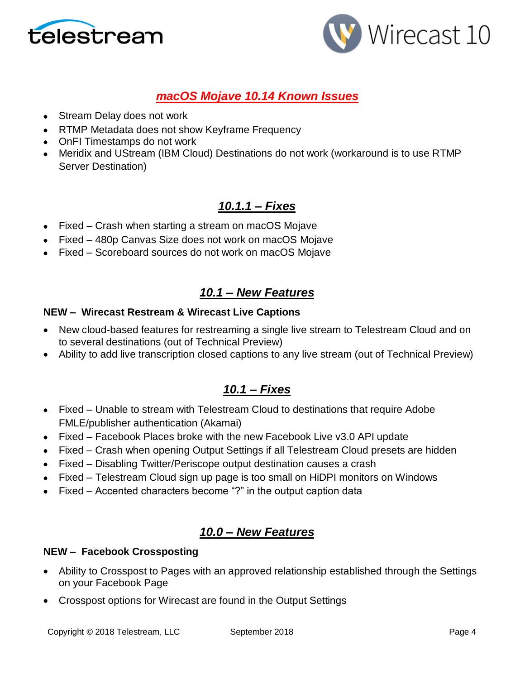



# *macOS Mojave 10.14 Known Issues*

- Stream Delay does not work
- RTMP Metadata does not show Keyframe Frequency
- OnFI Timestamps do not work
- Meridix and UStream (IBM Cloud) Destinations do not work (workaround is to use RTMP Server Destination)

# *10.1.1 – Fixes*

- Fixed Crash when starting a stream on macOS Mojave
- Fixed 480p Canvas Size does not work on macOS Mojave
- Fixed Scoreboard sources do not work on macOS Mojave

# *10.1 – New Features*

### **NEW – Wirecast Restream & Wirecast Live Captions**

- New cloud-based features for restreaming a single live stream to Telestream Cloud and on to several destinations (out of Technical Preview)
- Ability to add live transcription closed captions to any live stream (out of Technical Preview)

# *10.1 – Fixes*

- Fixed Unable to stream with Telestream Cloud to destinations that require Adobe FMLE/publisher authentication (Akamai)
- Fixed Facebook Places broke with the new Facebook Live v3.0 API update
- Fixed Crash when opening Output Settings if all Telestream Cloud presets are hidden
- Fixed Disabling Twitter/Periscope output destination causes a crash
- Fixed Telestream Cloud sign up page is too small on HiDPI monitors on Windows
- Fixed Accented characters become "?" in the output caption data

# *10.0 – New Features*

### **NEW – Facebook Crossposting**

- Ability to Crosspost to Pages with an approved relationship established through the Settings on your Facebook Page
- Crosspost options for Wirecast are found in the Output Settings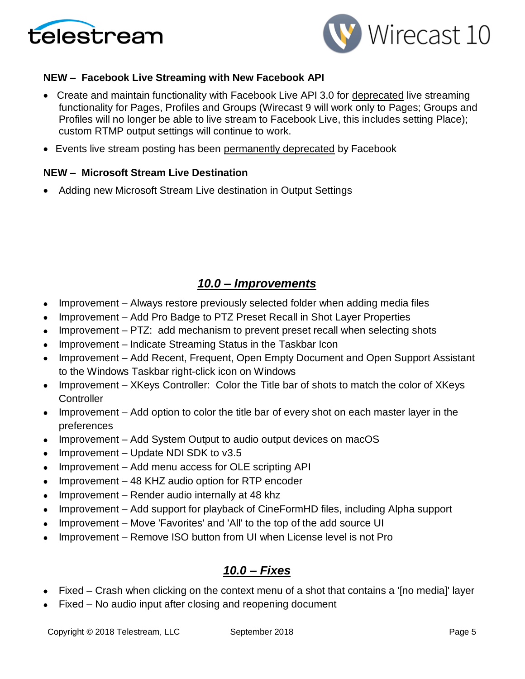



### **NEW – Facebook Live Streaming with New Facebook API**

- Create and maintain functionality with Facebook Live API 3.0 for deprecated live streaming functionality for Pages, Profiles and Groups (Wirecast 9 will work only to Pages; Groups and Profiles will no longer be able to live stream to Facebook Live, this includes setting Place); custom RTMP output settings will continue to work.
- Events live stream posting has been permanently deprecated by Facebook

### **NEW – Microsoft Stream Live Destination**

• Adding new Microsoft Stream Live destination in Output Settings

## *10.0 – Improvements*

- Improvement Always restore previously selected folder when adding media files
- Improvement Add Pro Badge to PTZ Preset Recall in Shot Layer Properties
- Improvement PTZ: add mechanism to prevent preset recall when selecting shots
- Improvement Indicate Streaming Status in the Taskbar Icon
- Improvement Add Recent, Frequent, Open Empty Document and Open Support Assistant to the Windows Taskbar right-click icon on Windows
- Improvement XKeys Controller: Color the Title bar of shots to match the color of XKeys **Controller**
- Improvement Add option to color the title bar of every shot on each master layer in the preferences
- Improvement Add System Output to audio output devices on macOS
- Improvement Update NDI SDK to v3.5
- Improvement Add menu access for OLE scripting API
- Improvement 48 KHZ audio option for RTP encoder
- Improvement Render audio internally at 48 khz
- Improvement Add support for playback of CineFormHD files, including Alpha support
- Improvement Move 'Favorites' and 'All' to the top of the add source UI
- Improvement Remove ISO button from UI when License level is not Pro

## *10.0 – Fixes*

- Fixed Crash when clicking on the context menu of a shot that contains a '[no media]' layer
- Fixed No audio input after closing and reopening document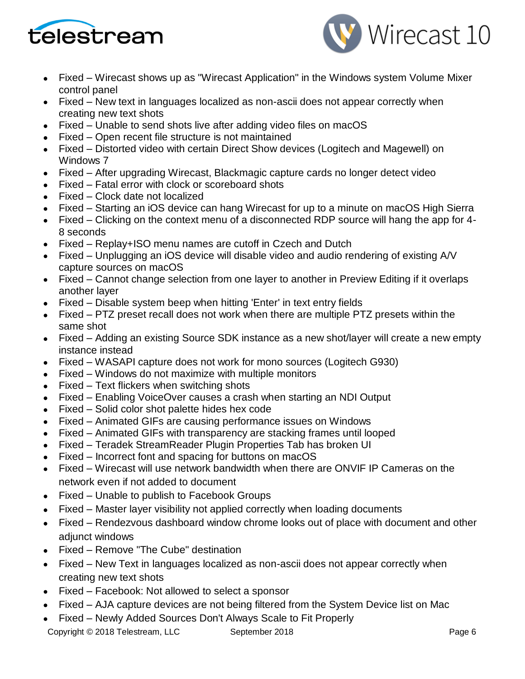



- Fixed Wirecast shows up as "Wirecast Application" in the Windows system Volume Mixer control panel
- Fixed New text in languages localized as non-ascii does not appear correctly when creating new text shots
- Fixed Unable to send shots live after adding video files on macOS
- Fixed Open recent file structure is not maintained
- Fixed Distorted video with certain Direct Show devices (Logitech and Magewell) on Windows 7
- Fixed After upgrading Wirecast, Blackmagic capture cards no longer detect video
- Fixed Fatal error with clock or scoreboard shots
- Fixed Clock date not localized
- Fixed Starting an iOS device can hang Wirecast for up to a minute on macOS High Sierra
- Fixed Clicking on the context menu of a disconnected RDP source will hang the app for 4- 8 seconds
- Fixed Replay+ISO menu names are cutoff in Czech and Dutch
- Fixed Unplugging an iOS device will disable video and audio rendering of existing A/V capture sources on macOS
- Fixed Cannot change selection from one layer to another in Preview Editing if it overlaps another layer
- Fixed Disable system beep when hitting 'Enter' in text entry fields
- Fixed PTZ preset recall does not work when there are multiple PTZ presets within the same shot
- Fixed Adding an existing Source SDK instance as a new shot/layer will create a new empty instance instead
- Fixed WASAPI capture does not work for mono sources (Logitech G930)
- Fixed Windows do not maximize with multiple monitors
- Fixed Text flickers when switching shots
- Fixed Enabling VoiceOver causes a crash when starting an NDI Output
- Fixed Solid color shot palette hides hex code
- Fixed Animated GIFs are causing performance issues on Windows
- Fixed Animated GIFs with transparency are stacking frames until looped
- Fixed Teradek StreamReader Plugin Properties Tab has broken UI
- Fixed Incorrect font and spacing for buttons on macOS
- Fixed Wirecast will use network bandwidth when there are ONVIF IP Cameras on the network even if not added to document
- Fixed Unable to publish to Facebook Groups
- Fixed Master layer visibility not applied correctly when loading documents
- Fixed Rendezvous dashboard window chrome looks out of place with document and other adjunct windows
- Fixed Remove "The Cube" destination
- Fixed New Text in languages localized as non-ascii does not appear correctly when creating new text shots
- Fixed Facebook: Not allowed to select a sponsor
- Fixed AJA capture devices are not being filtered from the System Device list on Mac
- Fixed Newly Added Sources Don't Always Scale to Fit Properly

Copyright © 2018 Telestream, LLC September 2018 Copyright © 2018 Page 6